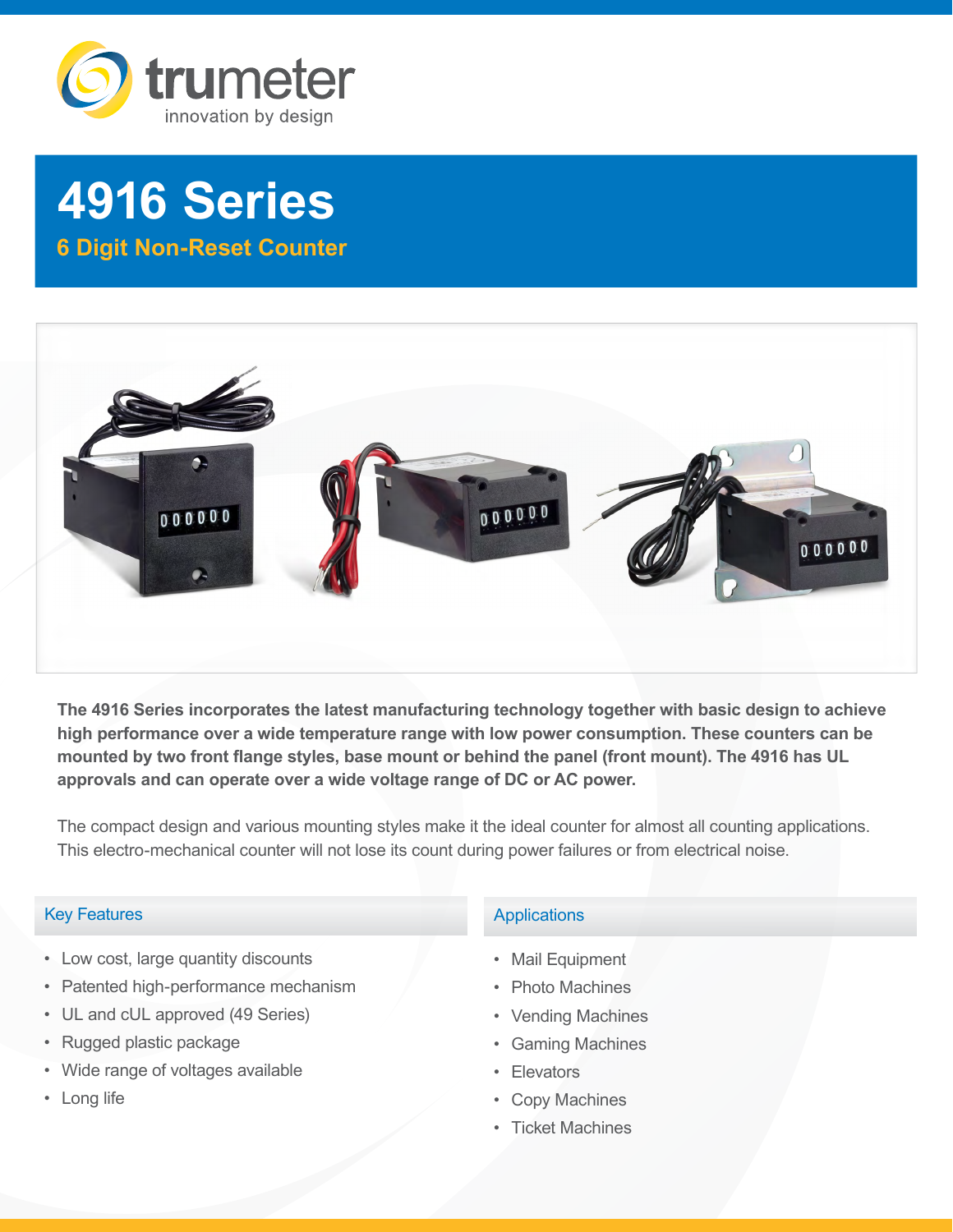

# **4916 Series**

**6 Digit Non-Reset Counter**



**The 4916 Series incorporates the latest manufacturing technology together with basic design to achieve high performance over a wide temperature range with low power consumption. These counters can be mounted by two front flange styles, base mount or behind the panel (front mount). The 4916 has UL approvals and can operate over a wide voltage range of DC or AC power.**

The compact design and various mounting styles make it the ideal counter for almost all counting applications. This electro-mechanical counter will not lose its count during power failures or from electrical noise.

### Key Features

- Low cost, large quantity discounts
- Patented high-performance mechanism
- UL and cUL approved (49 Series)
- Rugged plastic package
- Wide range of voltages available
- Long life

### **Applications**

- Mail Equipment
- Photo Machines
- Vending Machines
- Gaming Machines
- Elevators
- Copy Machines
- Ticket Machines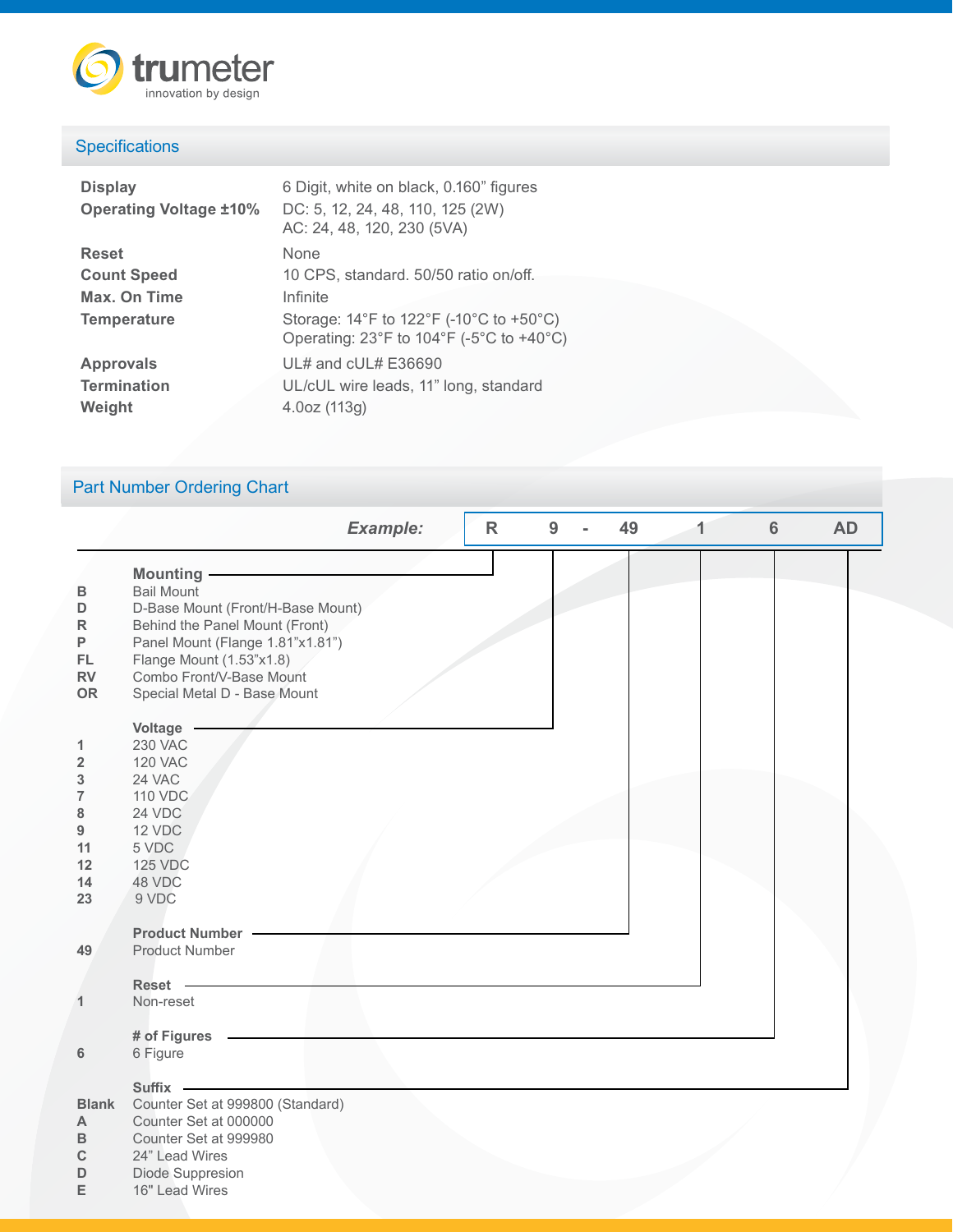

## **Specifications**

| 6 Digit, white on black, 0.160" figures<br>DC: 5, 12, 24, 48, 110, 125 (2W)<br>AC: 24, 48, 120, 230 (5VA)                                                               |
|-------------------------------------------------------------------------------------------------------------------------------------------------------------------------|
| None                                                                                                                                                                    |
| 10 CPS, standard. 50/50 ratio on/off.                                                                                                                                   |
| Infinite                                                                                                                                                                |
| Storage: $14^{\circ}$ F to $122^{\circ}$ F (-10 $^{\circ}$ C to +50 $^{\circ}$ C)<br>Operating: $23^{\circ}$ F to $104^{\circ}$ F (-5 $^{\circ}$ C to +40 $^{\circ}$ C) |
| UL# and cUL# E36690                                                                                                                                                     |
| UL/cUL wire leads, 11" long, standard                                                                                                                                   |
| 4.0oz (113g)                                                                                                                                                            |
|                                                                                                                                                                         |

# Part Number Ordering Chart

|                                                                                       | <b>Example:</b>                                                                                                                                                                                                                    | $\mathsf{R}$ | 9 | 49 | 1 | $6\phantom{1}6$ | <b>AD</b> |
|---------------------------------------------------------------------------------------|------------------------------------------------------------------------------------------------------------------------------------------------------------------------------------------------------------------------------------|--------------|---|----|---|-----------------|-----------|
| В<br>D<br>$\mathsf R$<br>P<br>FL<br><b>RV</b><br><b>OR</b>                            | Mounting -<br><b>Bail Mount</b><br>D-Base Mount (Front/H-Base Mount)<br>Behind the Panel Mount (Front)<br>Panel Mount (Flange 1.81"x1.81")<br>Flange Mount (1.53"x1.8)<br>Combo Front/V-Base Mount<br>Special Metal D - Base Mount |              |   |    |   |                 |           |
| 1<br>$\overline{\mathbf{2}}$<br>3<br>$\overline{7}$<br>8<br>9<br>11<br>12<br>14<br>23 | Voltage<br><b>230 VAC</b><br><b>120 VAC</b><br>24 VAC<br><b>110 VDC</b><br>24 VDC<br>12 VDC<br>5 VDC<br><b>125 VDC</b><br>48 VDC<br>9 VDC                                                                                          |              |   |    |   |                 |           |
| 49                                                                                    | <b>Product Number -</b><br><b>Product Number</b>                                                                                                                                                                                   |              |   |    |   |                 |           |
| 1                                                                                     | Reset -<br>Non-reset                                                                                                                                                                                                               |              |   |    |   |                 |           |
| 6                                                                                     | # of Figures<br>6 Figure                                                                                                                                                                                                           |              |   |    |   |                 |           |
| <b>Blank</b><br>$\mathsf{A}$<br>B<br>$\mathbf C$<br>D                                 | <b>Suffix</b><br>Counter Set at 999800 (Standard)<br>Counter Set at 000000<br>Counter Set at 999980<br>24" Lead Wires<br>Diode Suppresion                                                                                          |              |   |    |   |                 |           |

**E** 16" Lead Wires